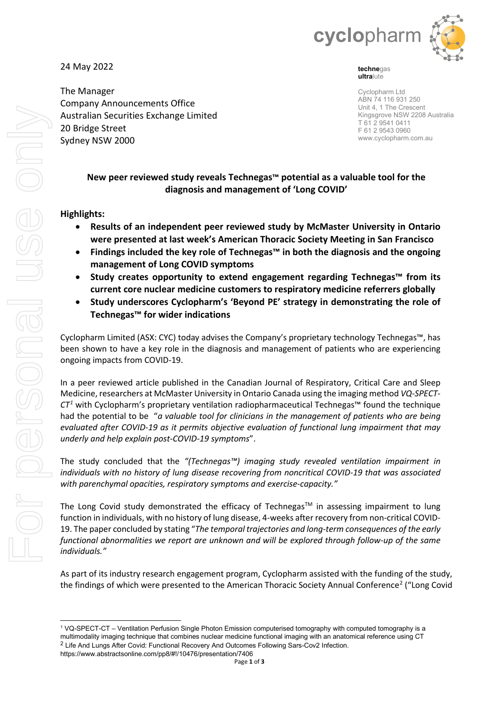

**techne**gas **ultra**lute

Cyclopharm Ltd ABN 74 116 931 250 Unit 4, 1 The Crescent Kingsgrove NSW 2208 Australia T 61 2 9541 0411 F 61 2 9543 0960 www.cyclopharm.com.au

# **New peer reviewed study reveals Technegas™ potential as a valuable tool for the diagnosis and management of 'Long COVID'**

## **Highlights:**

24 May 2022

The Manager

20 Bridge Street Sydney NSW 2000

Company Announcements Office Australian Securities Exchange Limited

- **Results of an independent peer reviewed study by McMaster University in Ontario were presented at last week's American Thoracic Society Meeting in San Francisco**
- **Findings included the key role of Technegas™ in both the diagnosis and the ongoing management of Long COVID symptoms**
- **Study creates opportunity to extend engagement regarding Technegas™ from its current core nuclear medicine customers to respiratory medicine referrers globally**
- **Study underscores Cyclopharm's 'Beyond PE' strategy in demonstrating the role of Technegas™ for wider indications**

Cyclopharm Limited (ASX: CYC) today advises the Company's proprietary technology Technegas™, has been shown to have a key role in the diagnosis and management of patients who are experiencing ongoing impacts from COVID-19.

In a peer reviewed article published in the Canadian Journal of Respiratory, Critical Care and Sleep Medicine, researchers at McMaster University in Ontario Canada using the imaging method *VQ-SPECT-CT[1](#page-0-0)* with Cyclopharm's proprietary ventilation radiopharmaceutical Technegas™ found the technique had the potential to be "*a valuable tool for clinicians in the management of patients who are being evaluated after COVID-19 as it permits objective evaluation of functional lung impairment that may underly and help explain post-COVID-19 symptoms*".

The study concluded that the *"(Technegas™) imaging study revealed ventilation impairment in individuals with no history of lung disease recovering from noncritical COVID-19 that was associated with parenchymal opacities, respiratory symptoms and exercise-capacity."*

The Long Covid study demonstrated the efficacy of Technegas<sup>TM</sup> in assessing impairment to lung function in individuals, with no history of lung disease, 4-weeks after recovery from non-critical COVID-19. The paper concluded by stating "*The temporal trajectories and long-term consequences of the early functional abnormalities we report are unknown and will be explored through follow-up of the same individuals."* 

As part of its industry research engagement program, Cyclopharm assisted with the funding of the study, the findings of which were presented to the American Thoracic Society Annual Conference<sup>[2](#page-0-1)</sup> ("Long Covid")

<span id="page-0-1"></span><span id="page-0-0"></span><sup>1</sup> VQ-SPECT-CT – Ventilation Perfusion Single Photon Emission computerised tomography with computed tomography is a multimodality imaging technique that combines nuclear medicine functional imaging with an anatomical reference using CT <sup>2</sup> Life And Lungs After Covid: Functional Recovery And Outcomes Following Sars-Cov2 Infection. https://www.abstractsonline.com/pp8/#!/10476/presentation/7406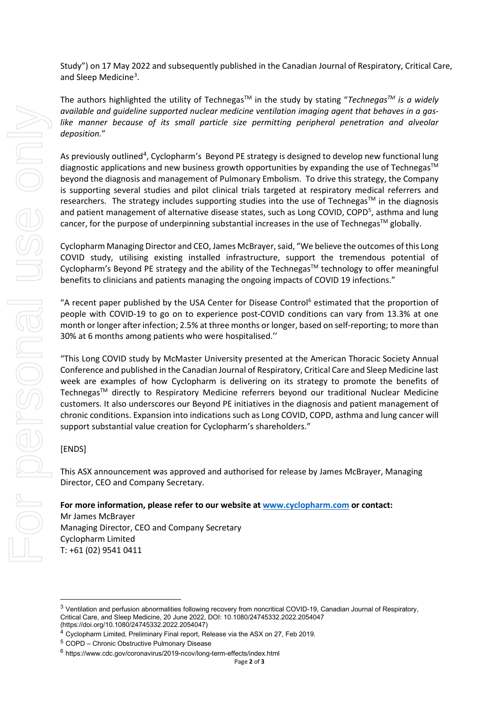Study") on 17 May 2022 and subsequently published in the Canadian Journal of Respiratory, Critical Care, and Sleep Medicine<sup>[3](#page-1-0)</sup>.

The authors highlighted the utility of Technegas<sup>™</sup> in the study by stating "*Technegas™ is a widely available and guideline supported nuclear medicine ventilation imaging agent that behaves in a gas*like manner because of its small particle size permitting peripheral penetration and alveolar *deposition.*"

As previously outlined<sup>[4](#page-1-1)</sup>, Cyclopharm's Beyond PE strategy is designed to develop new functional lung diagnostic applications and new business growth opportunities by expanding the use of Technegas™ beyond the diagnosis and management of Pulmonary Embolism. To drive this strategy, the Company is supporting several studies and pilot clinical trials targeted at respiratory medical referrers and researchers. The strategy includes supporting studies into the use of Technegas™ in the diagnosis and patient management of alternative disease states, such as Long COVID, COPD<sup>[5](#page-1-2)</sup>, asthma and lung cancer, for the purpose of underpinning substantial increases in the use of Technegas™ globally.

Cyclopharm Managing Director and CEO, James McBrayer, said, "We believe the outcomes of this Long COVID study, utilising existing installed infrastructure, support the tremendous potential of Cyclopharm's Beyond PE strategy and the ability of the Technegas<sup>TM</sup> technology to offer meaningful benefits to clinicians and patients managing the ongoing impacts of COVID 19 infections."

"A recent paper published by the USA Center for Disease Control<sup>[6](#page-1-3)</sup> estimated that the proportion of people with COVID-19 to go on to experience post-COVID conditions can vary from 13.3% at one month or longer after infection; 2.5% at three months or longer, based on self-reporting; to more than 30% at 6 months among patients who were hospitalised.''

"This Long COVID study by McMaster University presented at the American Thoracic Society Annual Conference and published in the Canadian Journal of Respiratory, Critical Care and Sleep Medicine last week are examples of how Cyclopharm is delivering on its strategy to promote the benefits of TechnegasTM directly to Respiratory Medicine referrers beyond our traditional Nuclear Medicine customers. It also underscores our Beyond PE initiatives in the diagnosis and patient management of chronic conditions. Expansion into indications such as Long COVID, COPD, asthma and lung cancer will support substantial value creation for Cyclopharm's shareholders."

### [ENDS]

This ASX announcement was approved and authorised for release by James McBrayer, Managing Director, CEO and Company Secretary.

**For more information, please refer to our website a[t www.cyclopharm.com](http://www.cyclopharm.com/) or contact:**  Mr James McBrayer Managing Director, CEO and Company Secretary Cyclopharm Limited T: +61 (02) 9541 0411

(https://doi.org/10.1080/24745332.2022.2054047)

<span id="page-1-0"></span><sup>&</sup>lt;sup>3</sup> Ventilation and perfusion abnormalities following recovery from noncritical COVID-19, Canadian Journal of Respiratory, Critical Care, and Sleep Medicine, 20 June 2022, DOI: 10.1080/24745332.2022.2054047

<span id="page-1-1"></span><sup>4</sup> Cyclopharm Limited, Preliminary Final report, Release via the ASX on 27, Feb 2019.

<span id="page-1-2"></span><sup>5</sup> COPD – Chronic Obstructive Pulmonary Disease

<span id="page-1-3"></span><sup>6</sup> https://www.cdc.gov/coronavirus/2019-ncov/long-term-effects/index.html